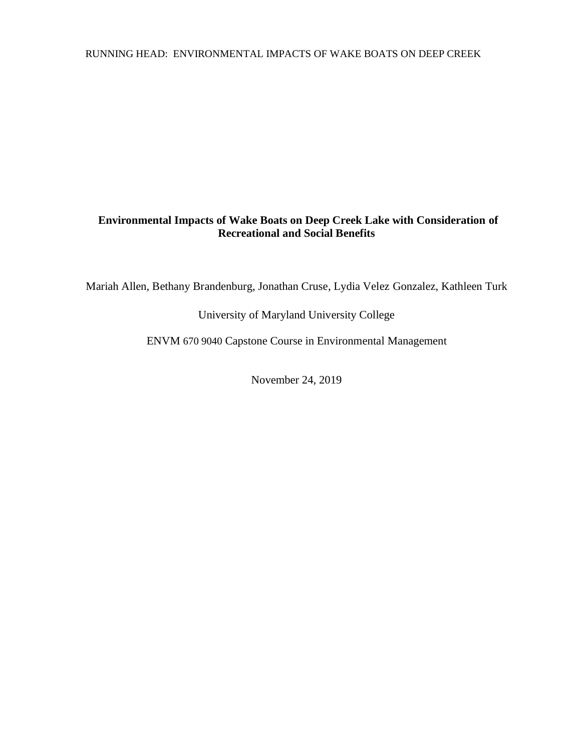## RUNNING HEAD: ENVIRONMENTAL IMPACTS OF WAKE BOATS ON DEEP CREEK

# **Environmental Impacts of Wake Boats on Deep Creek Lake with Consideration of Recreational and Social Benefits**

Mariah Allen, Bethany Brandenburg, Jonathan Cruse, Lydia Velez Gonzalez, Kathleen Turk

University of Maryland University College

ENVM 670 9040 Capstone Course in Environmental Management

November 24, 2019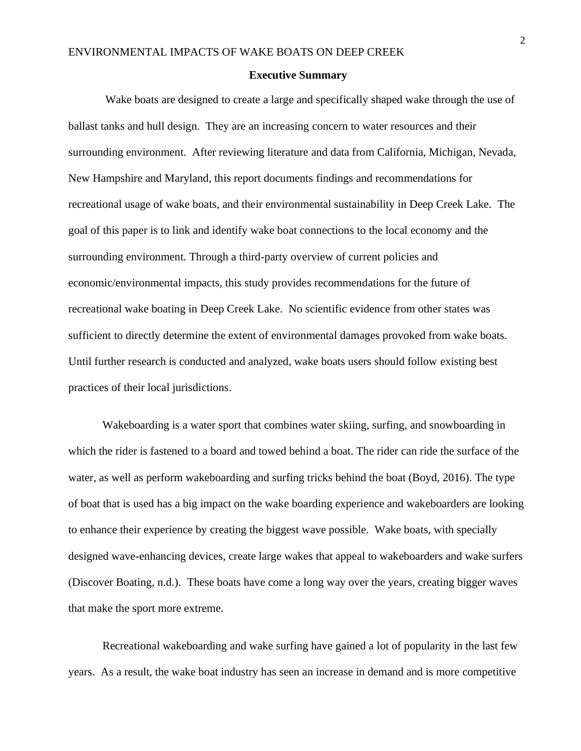#### **Executive Summary**

Wake boats are designed to create a large and specifically shaped wake through the use of ballast tanks and hull design. They are an increasing concern to water resources and their surrounding environment. After reviewing literature and data from California, Michigan, Nevada, New Hampshire and Maryland, this report documents findings and recommendations for recreational usage of wake boats, and their environmental sustainability in Deep Creek Lake. The goal of this paper is to link and identify wake boat connections to the local economy and the surrounding environment. Through a third-party overview of current policies and economic/environmental impacts, this study provides recommendations for the future of recreational wake boating in Deep Creek Lake. No scientific evidence from other states was sufficient to directly determine the extent of environmental damages provoked from wake boats. Until further research is conducted and analyzed, wake boats users should follow existing best practices of their local jurisdictions.

Wakeboarding is a water sport that combines water skiing, surfing, and snowboarding in which the rider is fastened to a board and towed behind a boat. The rider can ride the surface of the water, as well as perform wakeboarding and surfing tricks behind the boat (Boyd, 2016). The type of boat that is used has a big impact on the wake boarding experience and wakeboarders are looking to enhance their experience by creating the biggest wave possible. Wake boats, with specially designed wave-enhancing devices, create large wakes that appeal to wakeboarders and wake surfers (Discover Boating, n.d.). These boats have come a long way over the years, creating bigger waves that make the sport more extreme.

Recreational wakeboarding and wake surfing have gained a lot of popularity in the last few years. As a result, the wake boat industry has seen an increase in demand and is more competitive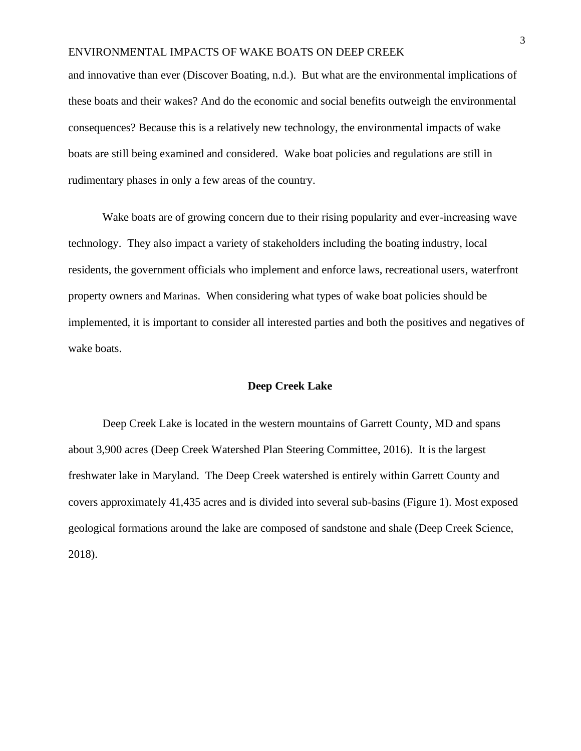and innovative than ever (Discover Boating, n.d.). But what are the environmental implications of these boats and their wakes? And do the economic and social benefits outweigh the environmental consequences? Because this is a relatively new technology, the environmental impacts of wake boats are still being examined and considered. Wake boat policies and regulations are still in rudimentary phases in only a few areas of the country.

Wake boats are of growing concern due to their rising popularity and ever-increasing wave technology. They also impact a variety of stakeholders including the boating industry, local residents, the government officials who implement and enforce laws, recreational users, waterfront property owners and Marinas. When considering what types of wake boat policies should be implemented, it is important to consider all interested parties and both the positives and negatives of wake boats.

## **Deep Creek Lake**

Deep Creek Lake is located in the western mountains of Garrett County, MD and spans about 3,900 acres (Deep Creek Watershed Plan Steering Committee, 2016). It is the largest freshwater lake in Maryland. The Deep Creek watershed is entirely within Garrett County and covers approximately 41,435 acres and is divided into several sub-basins (Figure 1). Most exposed geological formations around the lake are composed of sandstone and shale (Deep Creek Science, 2018).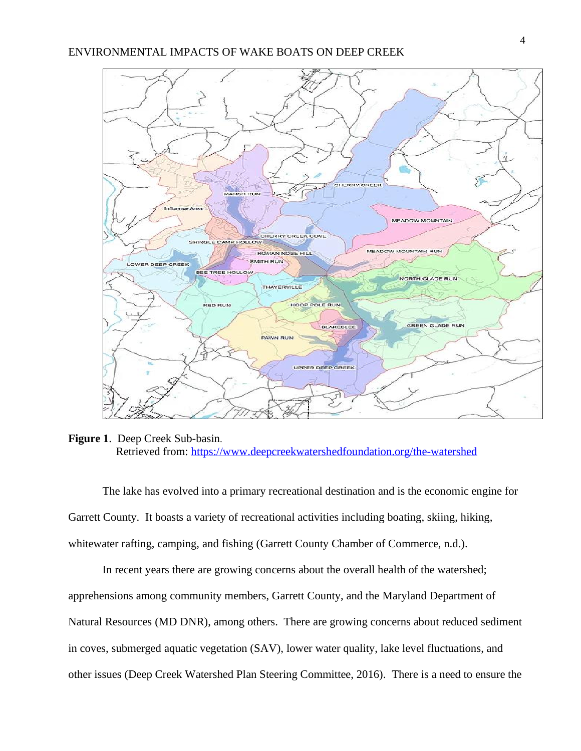

**Figure 1**. Deep Creek Sub-basin. Retrieved from: <https://www.deepcreekwatershedfoundation.org/the-watershed>

The lake has evolved into a primary recreational destination and is the economic engine for Garrett County. It boasts a variety of recreational activities including boating, skiing, hiking, whitewater rafting, camping, and fishing (Garrett County Chamber of Commerce, n.d.).

In recent years there are growing concerns about the overall health of the watershed; apprehensions among community members, Garrett County, and the Maryland Department of Natural Resources (MD DNR), among others. There are growing concerns about reduced sediment in coves, submerged aquatic vegetation (SAV), lower water quality, lake level fluctuations, and other issues (Deep Creek Watershed Plan Steering Committee, 2016). There is a need to ensure the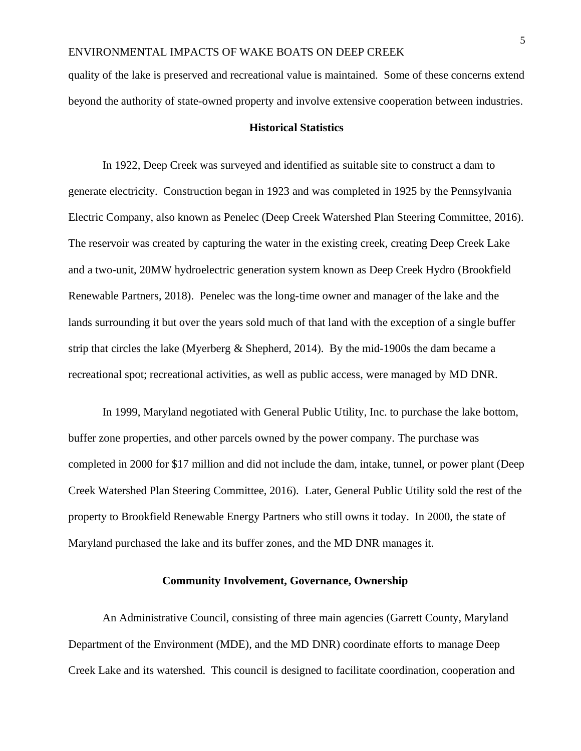quality of the lake is preserved and recreational value is maintained. Some of these concerns extend beyond the authority of state-owned property and involve extensive cooperation between industries.

## **Historical Statistics**

In 1922, Deep Creek was surveyed and identified as suitable site to construct a dam to generate electricity. Construction began in 1923 and was completed in 1925 by the Pennsylvania Electric Company, also known as Penelec (Deep Creek Watershed Plan Steering Committee, 2016). The reservoir was created by capturing the water in the existing creek, creating Deep Creek Lake and a two-unit, 20MW hydroelectric generation system known as Deep Creek Hydro (Brookfield Renewable Partners, 2018). Penelec was the long-time owner and manager of the lake and the lands surrounding it but over the years sold much of that land with the exception of a single buffer strip that circles the lake (Myerberg & Shepherd, 2014). By the mid-1900s the dam became a recreational spot; recreational activities, as well as public access, were managed by MD DNR.

In 1999, Maryland negotiated with General Public Utility, Inc. to purchase the lake bottom, buffer zone properties, and other parcels owned by the power company. The purchase was completed in 2000 for \$17 million and did not include the dam, intake, tunnel, or power plant (Deep Creek Watershed Plan Steering Committee, 2016). Later, General Public Utility sold the rest of the property to Brookfield Renewable Energy Partners who still owns it today. In 2000, the state of Maryland purchased the lake and its buffer zones, and the MD DNR manages it.

### **Community Involvement, Governance, Ownership**

An Administrative Council, consisting of three main agencies (Garrett County, Maryland Department of the Environment (MDE), and the MD DNR) coordinate efforts to manage Deep Creek Lake and its watershed. This council is designed to facilitate coordination, cooperation and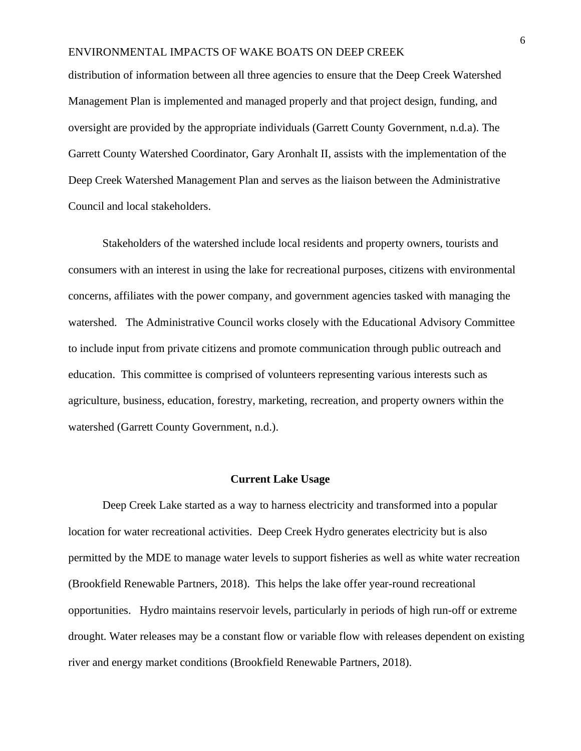distribution of information between all three agencies to ensure that the Deep Creek Watershed Management Plan is implemented and managed properly and that project design, funding, and oversight are provided by the appropriate individuals (Garrett County Government, n.d.a). The Garrett County Watershed Coordinator, Gary Aronhalt II, assists with the implementation of the Deep Creek Watershed Management Plan and serves as the liaison between the Administrative Council and local stakeholders.

Stakeholders of the watershed include local residents and property owners, tourists and consumers with an interest in using the lake for recreational purposes, citizens with environmental concerns, affiliates with the power company, and government agencies tasked with managing the watershed. The Administrative Council works closely with the Educational Advisory Committee to include input from private citizens and promote communication through public outreach and education. This committee is comprised of volunteers representing various interests such as agriculture, business, education, forestry, marketing, recreation, and property owners within the watershed (Garrett County Government, n.d.).

### **Current Lake Usage**

Deep Creek Lake started as a way to harness electricity and transformed into a popular location for water recreational activities. Deep Creek Hydro generates electricity but is also permitted by the MDE to manage water levels to support fisheries as well as white water recreation (Brookfield Renewable Partners, 2018). This helps the lake offer year-round recreational opportunities. Hydro maintains reservoir levels, particularly in periods of high run-off or extreme drought. Water releases may be a constant flow or variable flow with releases dependent on existing river and energy market conditions (Brookfield Renewable Partners, 2018).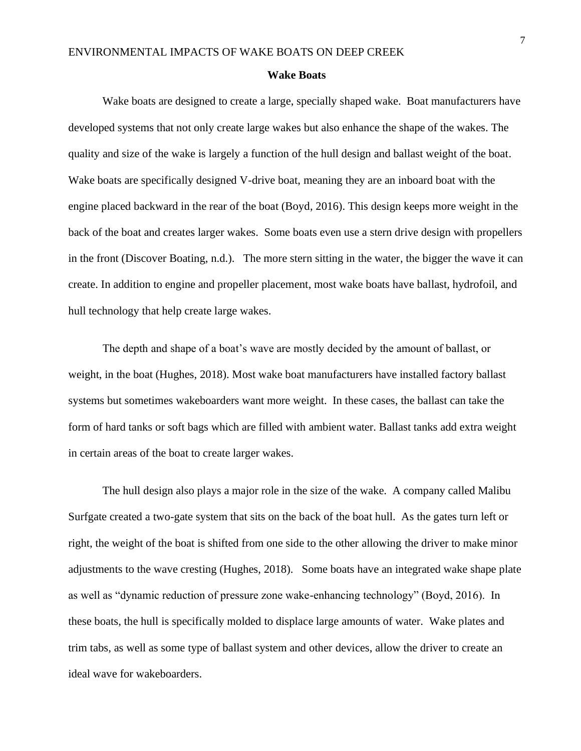#### **Wake Boats**

Wake boats are designed to create a large, specially shaped wake. Boat manufacturers have developed systems that not only create large wakes but also enhance the shape of the wakes. The quality and size of the wake is largely a function of the hull design and ballast weight of the boat. Wake boats are specifically designed V-drive boat, meaning they are an inboard boat with the engine placed backward in the rear of the boat (Boyd, 2016). This design keeps more weight in the back of the boat and creates larger wakes. Some boats even use a stern drive design with propellers in the front (Discover Boating, n.d.). The more stern sitting in the water, the bigger the wave it can create. In addition to engine and propeller placement, most wake boats have ballast, hydrofoil, and hull technology that help create large wakes.

The depth and shape of a boat's wave are mostly decided by the amount of ballast, or weight, in the boat (Hughes, 2018). Most wake boat manufacturers have installed factory ballast systems but sometimes wakeboarders want more weight. In these cases, the ballast can take the form of hard tanks or soft bags which are filled with ambient water. Ballast tanks add extra weight in certain areas of the boat to create larger wakes.

The hull design also plays a major role in the size of the wake. A company called Malibu Surfgate created a two-gate system that sits on the back of the boat hull. As the gates turn left or right, the weight of the boat is shifted from one side to the other allowing the driver to make minor adjustments to the wave cresting (Hughes, 2018). Some boats have an integrated wake shape plate as well as "dynamic reduction of pressure zone wake-enhancing technology" (Boyd, 2016). In these boats, the hull is specifically molded to displace large amounts of water. Wake plates and trim tabs, as well as some type of ballast system and other devices, allow the driver to create an ideal wave for wakeboarders.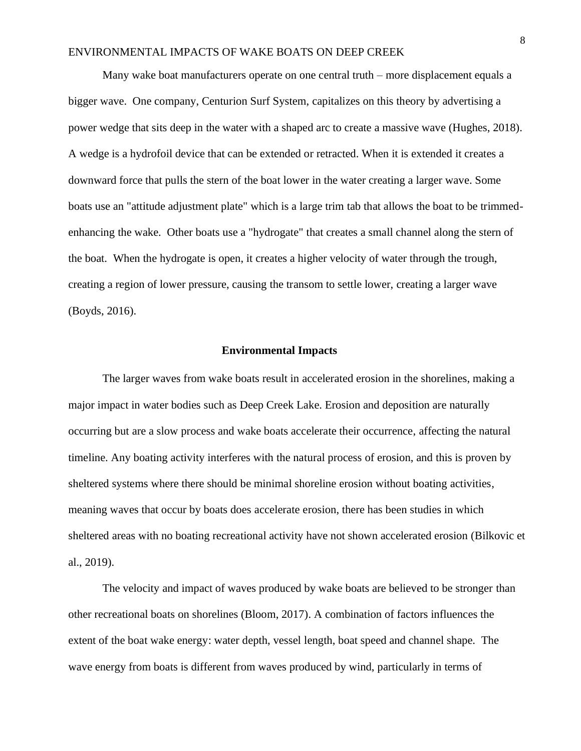Many wake boat manufacturers operate on one central truth – more displacement equals a bigger wave. One company, Centurion Surf System, capitalizes on this theory by advertising a power wedge that sits deep in the water with a shaped arc to create a massive wave (Hughes, 2018). A wedge is a hydrofoil device that can be extended or retracted. When it is extended it creates a downward force that pulls the stern of the boat lower in the water creating a larger wave. Some boats use an "attitude adjustment plate" which is a large trim tab that allows the boat to be trimmedenhancing the wake. Other boats use a "hydrogate" that creates a small channel along the stern of the boat. When the hydrogate is open, it creates a higher velocity of water through the trough, creating a region of lower pressure, causing the transom to settle lower, creating a larger wave (Boyds, 2016).

### **Environmental Impacts**

The larger waves from wake boats result in accelerated erosion in the shorelines, making a major impact in water bodies such as Deep Creek Lake. Erosion and deposition are naturally occurring but are a slow process and wake boats accelerate their occurrence, affecting the natural timeline. Any boating activity interferes with the natural process of erosion, and this is proven by sheltered systems where there should be minimal shoreline erosion without boating activities, meaning waves that occur by boats does accelerate erosion, there has been studies in which sheltered areas with no boating recreational activity have not shown accelerated erosion (Bilkovic et al., 2019).

The velocity and impact of waves produced by wake boats are believed to be stronger than other recreational boats on shorelines (Bloom, 2017). A combination of factors influences the extent of the boat wake energy: water depth, vessel length, boat speed and channel shape. The wave energy from boats is different from waves produced by wind, particularly in terms of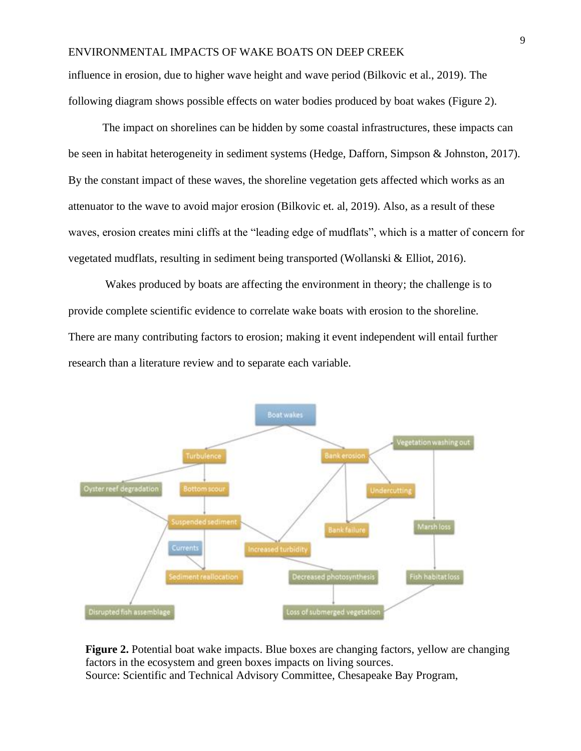influence in erosion, due to higher wave height and wave period (Bilkovic et al., 2019). The following diagram shows possible effects on water bodies produced by boat wakes (Figure 2).

The impact on shorelines can be hidden by some coastal infrastructures, these impacts can be seen in habitat heterogeneity in sediment systems (Hedge, Dafforn, Simpson & Johnston, 2017). By the constant impact of these waves, the shoreline vegetation gets affected which works as an attenuator to the wave to avoid major erosion (Bilkovic et. al, 2019). Also, as a result of these waves, erosion creates mini cliffs at the "leading edge of mudflats", which is a matter of concern for vegetated mudflats, resulting in sediment being transported (Wollanski & Elliot, 2016).

Wakes produced by boats are affecting the environment in theory; the challenge is to provide complete scientific evidence to correlate wake boats with erosion to the shoreline. There are many contributing factors to erosion; making it event independent will entail further research than a literature review and to separate each variable.



**Figure 2.** Potential boat wake impacts. Blue boxes are changing factors, yellow are changing factors in the ecosystem and green boxes impacts on living sources. Source: Scientific and Technical Advisory Committee, Chesapeake Bay Program,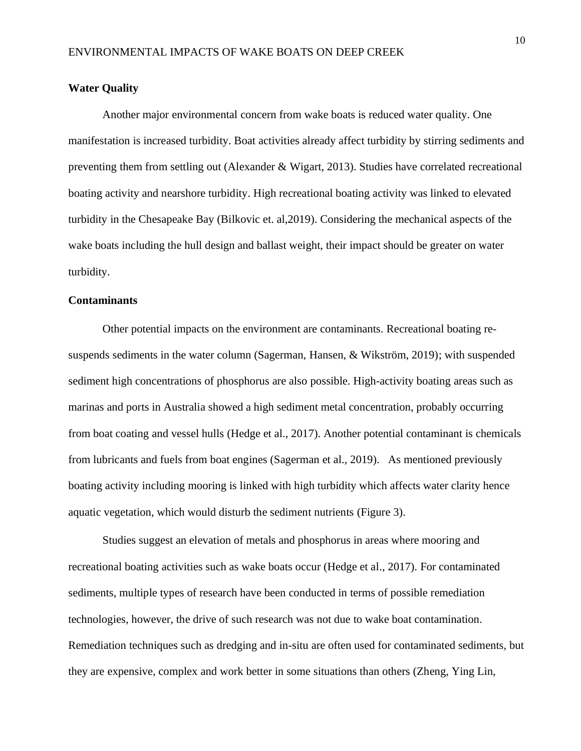### **Water Quality**

Another major environmental concern from wake boats is reduced water quality. One manifestation is increased turbidity. Boat activities already affect turbidity by stirring sediments and preventing them from settling out (Alexander & Wigart, 2013). Studies have correlated recreational boating activity and nearshore turbidity. High recreational boating activity was linked to elevated turbidity in the Chesapeake Bay (Bilkovic et. al,2019). Considering the mechanical aspects of the wake boats including the hull design and ballast weight, their impact should be greater on water turbidity.

### **Contaminants**

Other potential impacts on the environment are contaminants. Recreational boating resuspends sediments in the water column (Sagerman, Hansen, & Wikström, 2019); with suspended sediment high concentrations of phosphorus are also possible. High-activity boating areas such as marinas and ports in Australia showed a high sediment metal concentration, probably occurring from boat coating and vessel hulls (Hedge et al., 2017). Another potential contaminant is chemicals from lubricants and fuels from boat engines (Sagerman et al., 2019). As mentioned previously boating activity including mooring is linked with high turbidity which affects water clarity hence aquatic vegetation, which would disturb the sediment nutrients (Figure 3).

Studies suggest an elevation of metals and phosphorus in areas where mooring and recreational boating activities such as wake boats occur (Hedge et al., 2017). For contaminated sediments, multiple types of research have been conducted in terms of possible remediation technologies, however, the drive of such research was not due to wake boat contamination. Remediation techniques such as dredging and in-situ are often used for contaminated sediments, but they are expensive, complex and work better in some situations than others (Zheng, Ying Lin,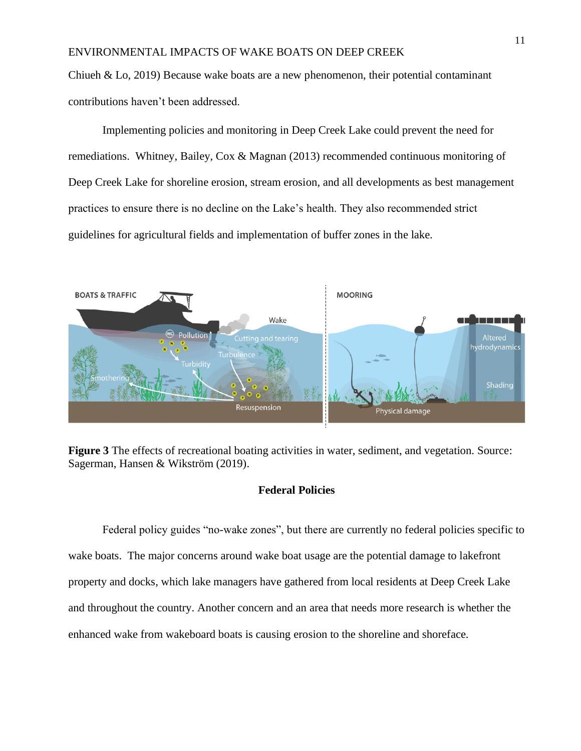Chiueh & Lo, 2019) Because wake boats are a new phenomenon, their potential contaminant contributions haven't been addressed.

Implementing policies and monitoring in Deep Creek Lake could prevent the need for remediations. Whitney, Bailey, Cox & Magnan (2013) recommended continuous monitoring of Deep Creek Lake for shoreline erosion, stream erosion, and all developments as best management practices to ensure there is no decline on the Lake's health. They also recommended strict guidelines for agricultural fields and implementation of buffer zones in the lake.



**Figure 3** The effects of recreational boating activities in water, sediment, and vegetation. Source: Sagerman, Hansen & Wikström (2019).

## **Federal Policies**

Federal policy guides "no-wake zones", but there are currently no federal policies specific to wake boats. The major concerns around wake boat usage are the potential damage to lakefront property and docks, which lake managers have gathered from local residents at Deep Creek Lake and throughout the country. Another concern and an area that needs more research is whether the enhanced wake from wakeboard boats is causing erosion to the shoreline and shoreface.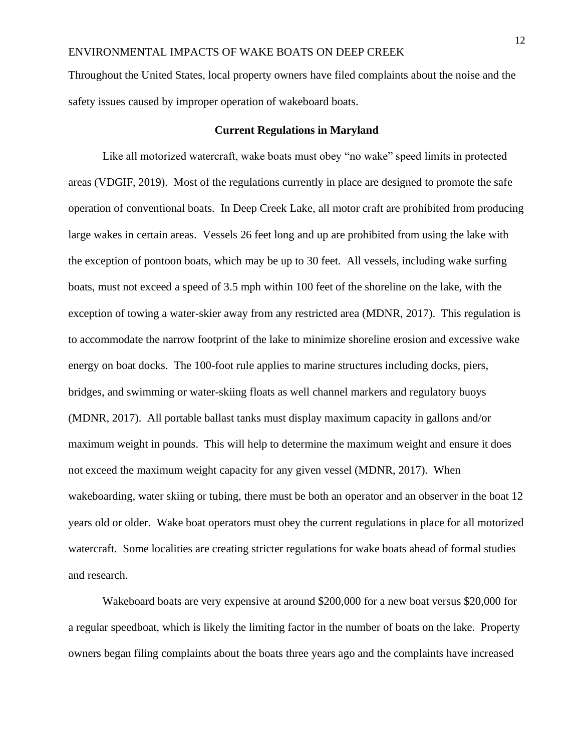Throughout the United States, local property owners have filed complaints about the noise and the safety issues caused by improper operation of wakeboard boats.

### **Current Regulations in Maryland**

Like all motorized watercraft, wake boats must obey "no wake" speed limits in protected areas (VDGIF, 2019). Most of the regulations currently in place are designed to promote the safe operation of conventional boats. In Deep Creek Lake, all motor craft are prohibited from producing large wakes in certain areas. Vessels 26 feet long and up are prohibited from using the lake with the exception of pontoon boats, which may be up to 30 feet. All vessels, including wake surfing boats, must not exceed a speed of 3.5 mph within 100 feet of the shoreline on the lake, with the exception of towing a water-skier away from any restricted area (MDNR, 2017). This regulation is to accommodate the narrow footprint of the lake to minimize shoreline erosion and excessive wake energy on boat docks. The 100-foot rule applies to marine structures including docks, piers, bridges, and swimming or water-skiing floats as well channel markers and regulatory buoys (MDNR, 2017). All portable ballast tanks must display maximum capacity in gallons and/or maximum weight in pounds. This will help to determine the maximum weight and ensure it does not exceed the maximum weight capacity for any given vessel (MDNR, 2017). When wakeboarding, water skiing or tubing, there must be both an operator and an observer in the boat 12 years old or older. Wake boat operators must obey the current regulations in place for all motorized watercraft. Some localities are creating stricter regulations for wake boats ahead of formal studies and research.

Wakeboard boats are very expensive at around \$200,000 for a new boat versus \$20,000 for a regular speedboat, which is likely the limiting factor in the number of boats on the lake. Property owners began filing complaints about the boats three years ago and the complaints have increased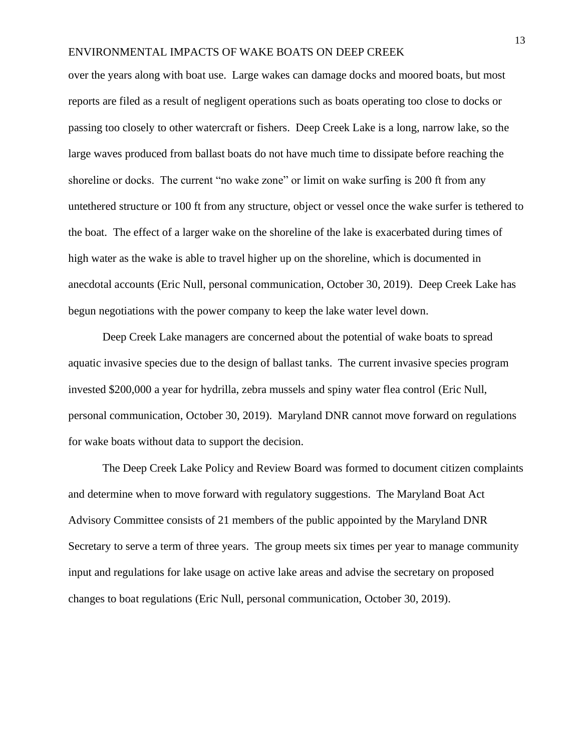over the years along with boat use. Large wakes can damage docks and moored boats, but most reports are filed as a result of negligent operations such as boats operating too close to docks or passing too closely to other watercraft or fishers. Deep Creek Lake is a long, narrow lake, so the large waves produced from ballast boats do not have much time to dissipate before reaching the shoreline or docks. The current "no wake zone" or limit on wake surfing is 200 ft from any untethered structure or 100 ft from any structure, object or vessel once the wake surfer is tethered to the boat. The effect of a larger wake on the shoreline of the lake is exacerbated during times of high water as the wake is able to travel higher up on the shoreline, which is documented in anecdotal accounts (Eric Null, personal communication, October 30, 2019). Deep Creek Lake has begun negotiations with the power company to keep the lake water level down.

Deep Creek Lake managers are concerned about the potential of wake boats to spread aquatic invasive species due to the design of ballast tanks. The current invasive species program invested \$200,000 a year for hydrilla, zebra mussels and spiny water flea control (Eric Null, personal communication, October 30, 2019). Maryland DNR cannot move forward on regulations for wake boats without data to support the decision.

The Deep Creek Lake Policy and Review Board was formed to document citizen complaints and determine when to move forward with regulatory suggestions. The Maryland Boat Act Advisory Committee consists of 21 members of the public appointed by the Maryland DNR Secretary to serve a term of three years. The group meets six times per year to manage community input and regulations for lake usage on active lake areas and advise the secretary on proposed changes to boat regulations (Eric Null, personal communication, October 30, 2019).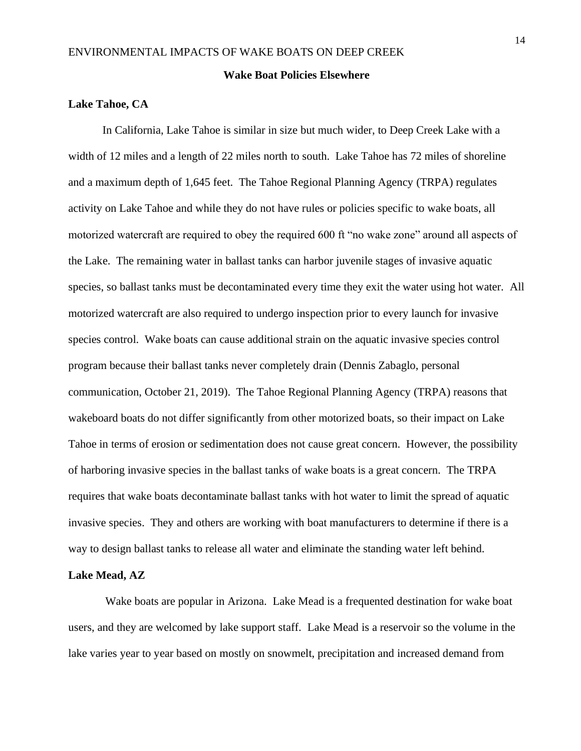### **Wake Boat Policies Elsewhere**

## **Lake Tahoe, CA**

In California, Lake Tahoe is similar in size but much wider, to Deep Creek Lake with a width of 12 miles and a length of 22 miles north to south. Lake Tahoe has 72 miles of shoreline and a maximum depth of 1,645 feet. The Tahoe Regional Planning Agency (TRPA) regulates activity on Lake Tahoe and while they do not have rules or policies specific to wake boats, all motorized watercraft are required to obey the required 600 ft "no wake zone" around all aspects of the Lake. The remaining water in ballast tanks can harbor juvenile stages of invasive aquatic species, so ballast tanks must be decontaminated every time they exit the water using hot water. All motorized watercraft are also required to undergo inspection prior to every launch for invasive species control. Wake boats can cause additional strain on the aquatic invasive species control program because their ballast tanks never completely drain (Dennis Zabaglo, personal communication, October 21, 2019). The Tahoe Regional Planning Agency (TRPA) reasons that wakeboard boats do not differ significantly from other motorized boats, so their impact on Lake Tahoe in terms of erosion or sedimentation does not cause great concern. However, the possibility of harboring invasive species in the ballast tanks of wake boats is a great concern. The TRPA requires that wake boats decontaminate ballast tanks with hot water to limit the spread of aquatic invasive species. They and others are working with boat manufacturers to determine if there is a way to design ballast tanks to release all water and eliminate the standing water left behind.

## **Lake Mead, AZ**

Wake boats are popular in Arizona. Lake Mead is a frequented destination for wake boat users, and they are welcomed by lake support staff. Lake Mead is a reservoir so the volume in the lake varies year to year based on mostly on snowmelt, precipitation and increased demand from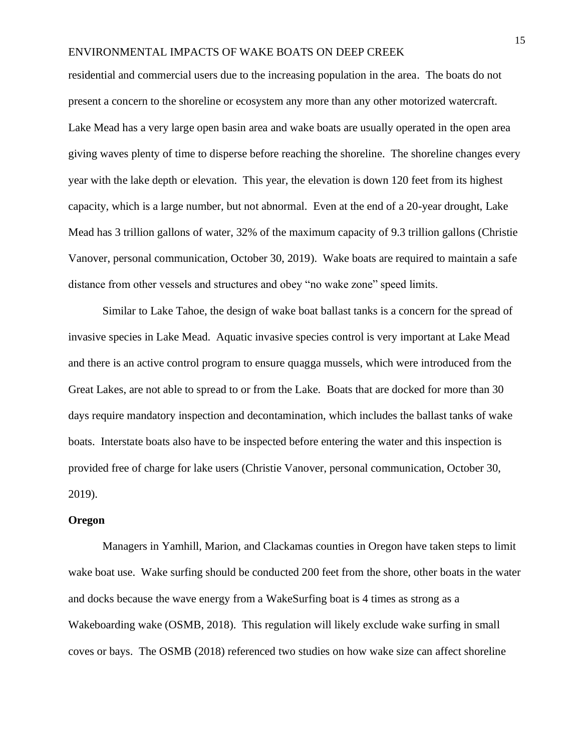residential and commercial users due to the increasing population in the area. The boats do not present a concern to the shoreline or ecosystem any more than any other motorized watercraft. Lake Mead has a very large open basin area and wake boats are usually operated in the open area giving waves plenty of time to disperse before reaching the shoreline. The shoreline changes every year with the lake depth or elevation. This year, the elevation is down 120 feet from its highest capacity, which is a large number, but not abnormal. Even at the end of a 20-year drought, Lake Mead has 3 trillion gallons of water, 32% of the maximum capacity of 9.3 trillion gallons (Christie Vanover, personal communication, October 30, 2019). Wake boats are required to maintain a safe distance from other vessels and structures and obey "no wake zone" speed limits.

Similar to Lake Tahoe, the design of wake boat ballast tanks is a concern for the spread of invasive species in Lake Mead. Aquatic invasive species control is very important at Lake Mead and there is an active control program to ensure quagga mussels, which were introduced from the Great Lakes, are not able to spread to or from the Lake. Boats that are docked for more than 30 days require mandatory inspection and decontamination, which includes the ballast tanks of wake boats. Interstate boats also have to be inspected before entering the water and this inspection is provided free of charge for lake users (Christie Vanover, personal communication, October 30, 2019).

#### **Oregon**

Managers in Yamhill, Marion, and Clackamas counties in Oregon have taken steps to limit wake boat use. Wake surfing should be conducted 200 feet from the shore, other boats in the water and docks because the wave energy from a WakeSurfing boat is 4 times as strong as a Wakeboarding wake (OSMB, 2018). This regulation will likely exclude wake surfing in small coves or bays. The OSMB (2018) referenced two studies on how wake size can affect shoreline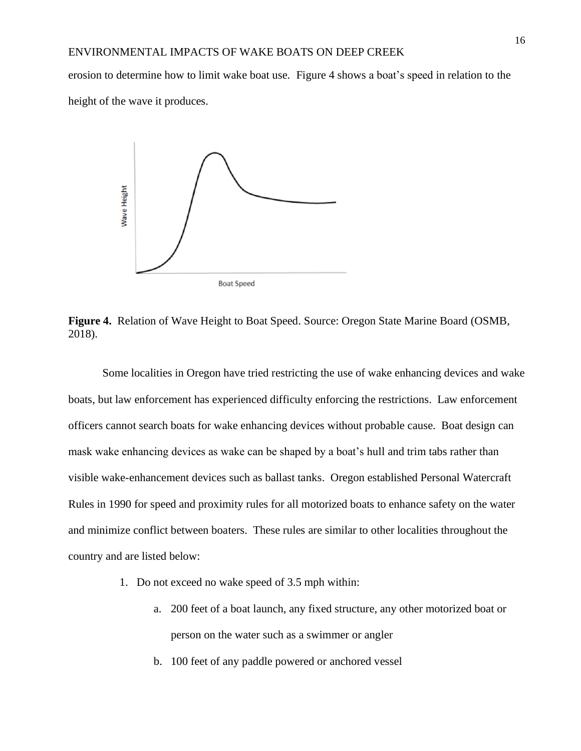erosion to determine how to limit wake boat use. Figure 4 shows a boat's speed in relation to the height of the wave it produces.



**Figure 4.** Relation of Wave Height to Boat Speed. Source: Oregon State Marine Board (OSMB, 2018).

Some localities in Oregon have tried restricting the use of wake enhancing devices and wake boats, but law enforcement has experienced difficulty enforcing the restrictions. Law enforcement officers cannot search boats for wake enhancing devices without probable cause. Boat design can mask wake enhancing devices as wake can be shaped by a boat's hull and trim tabs rather than visible wake-enhancement devices such as ballast tanks. Oregon established Personal Watercraft Rules in 1990 for speed and proximity rules for all motorized boats to enhance safety on the water and minimize conflict between boaters. These rules are similar to other localities throughout the country and are listed below:

- 1. Do not exceed no wake speed of 3.5 mph within:
	- a. 200 feet of a boat launch, any fixed structure, any other motorized boat or person on the water such as a swimmer or angler
	- b. 100 feet of any paddle powered or anchored vessel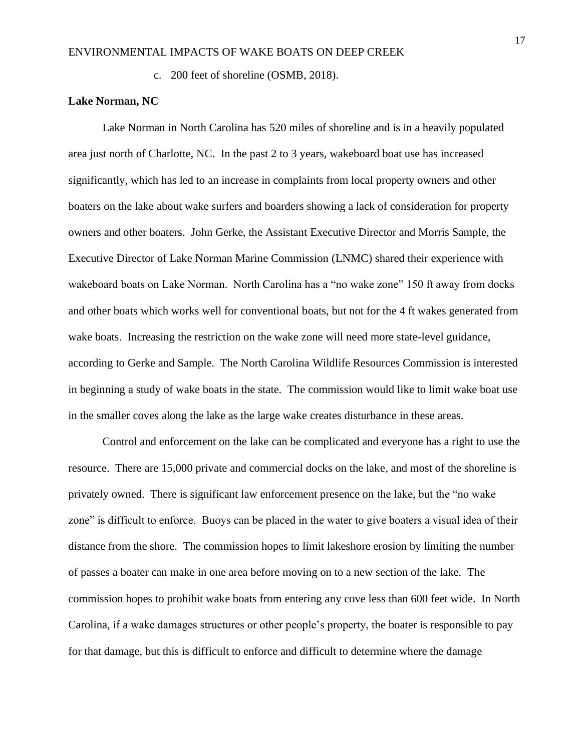c. 200 feet of shoreline (OSMB, 2018).

## **Lake Norman, NC**

Lake Norman in North Carolina has 520 miles of shoreline and is in a heavily populated area just north of Charlotte, NC. In the past 2 to 3 years, wakeboard boat use has increased significantly, which has led to an increase in complaints from local property owners and other boaters on the lake about wake surfers and boarders showing a lack of consideration for property owners and other boaters. John Gerke, the Assistant Executive Director and Morris Sample, the Executive Director of Lake Norman Marine Commission (LNMC) shared their experience with wakeboard boats on Lake Norman. North Carolina has a "no wake zone" 150 ft away from docks and other boats which works well for conventional boats, but not for the 4 ft wakes generated from wake boats. Increasing the restriction on the wake zone will need more state-level guidance, according to Gerke and Sample. The North Carolina Wildlife Resources Commission is interested in beginning a study of wake boats in the state. The commission would like to limit wake boat use in the smaller coves along the lake as the large wake creates disturbance in these areas.

Control and enforcement on the lake can be complicated and everyone has a right to use the resource. There are 15,000 private and commercial docks on the lake, and most of the shoreline is privately owned. There is significant law enforcement presence on the lake, but the "no wake zone" is difficult to enforce. Buoys can be placed in the water to give boaters a visual idea of their distance from the shore. The commission hopes to limit lakeshore erosion by limiting the number of passes a boater can make in one area before moving on to a new section of the lake. The commission hopes to prohibit wake boats from entering any cove less than 600 feet wide. In North Carolina, if a wake damages structures or other people's property, the boater is responsible to pay for that damage, but this is difficult to enforce and difficult to determine where the damage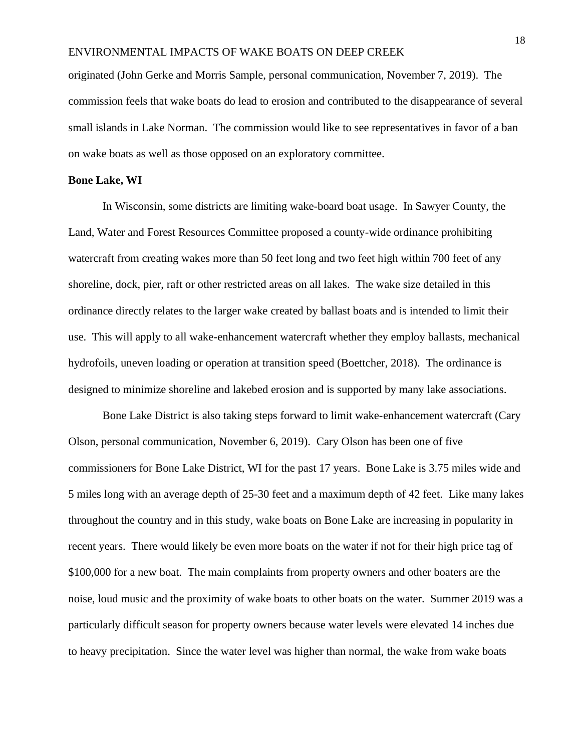originated (John Gerke and Morris Sample, personal communication, November 7, 2019). The commission feels that wake boats do lead to erosion and contributed to the disappearance of several small islands in Lake Norman. The commission would like to see representatives in favor of a ban on wake boats as well as those opposed on an exploratory committee.

#### **Bone Lake, WI**

In Wisconsin, some districts are limiting wake-board boat usage. In Sawyer County, the Land, Water and Forest Resources Committee proposed a county-wide ordinance prohibiting watercraft from creating wakes more than 50 feet long and two feet high within 700 feet of any shoreline, dock, pier, raft or other restricted areas on all lakes. The wake size detailed in this ordinance directly relates to the larger wake created by ballast boats and is intended to limit their use. This will apply to all wake-enhancement watercraft whether they employ ballasts, mechanical hydrofoils, uneven loading or operation at transition speed (Boettcher, 2018). The ordinance is designed to minimize shoreline and lakebed erosion and is supported by many lake associations.

Bone Lake District is also taking steps forward to limit wake-enhancement watercraft (Cary Olson, personal communication, November 6, 2019). Cary Olson has been one of five commissioners for Bone Lake District, WI for the past 17 years. Bone Lake is 3.75 miles wide and 5 miles long with an average depth of 25-30 feet and a maximum depth of 42 feet. Like many lakes throughout the country and in this study, wake boats on Bone Lake are increasing in popularity in recent years. There would likely be even more boats on the water if not for their high price tag of \$100,000 for a new boat. The main complaints from property owners and other boaters are the noise, loud music and the proximity of wake boats to other boats on the water. Summer 2019 was a particularly difficult season for property owners because water levels were elevated 14 inches due to heavy precipitation. Since the water level was higher than normal, the wake from wake boats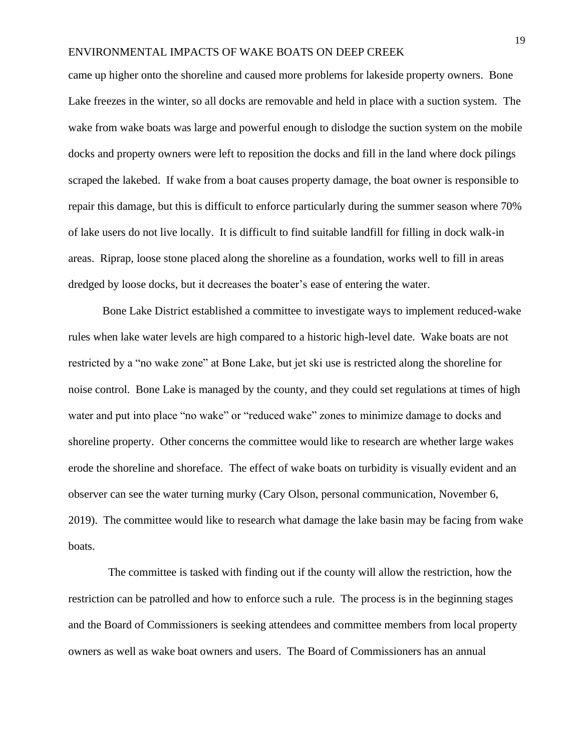came up higher onto the shoreline and caused more problems for lakeside property owners. Bone Lake freezes in the winter, so all docks are removable and held in place with a suction system. The wake from wake boats was large and powerful enough to dislodge the suction system on the mobile docks and property owners were left to reposition the docks and fill in the land where dock pilings scraped the lakebed. If wake from a boat causes property damage, the boat owner is responsible to repair this damage, but this is difficult to enforce particularly during the summer season where 70% of lake users do not live locally. It is difficult to find suitable landfill for filling in dock walk-in areas. Riprap, loose stone placed along the shoreline as a foundation, works well to fill in areas dredged by loose docks, but it decreases the boater's ease of entering the water.

Bone Lake District established a committee to investigate ways to implement reduced-wake rules when lake water levels are high compared to a historic high-level date. Wake boats are not restricted by a "no wake zone" at Bone Lake, but jet ski use is restricted along the shoreline for noise control. Bone Lake is managed by the county, and they could set regulations at times of high water and put into place "no wake" or "reduced wake" zones to minimize damage to docks and shoreline property. Other concerns the committee would like to research are whether large wakes erode the shoreline and shoreface. The effect of wake boats on turbidity is visually evident and an observer can see the water turning murky (Cary Olson, personal communication, November 6, 2019). The committee would like to research what damage the lake basin may be facing from wake boats.

 The committee is tasked with finding out if the county will allow the restriction, how the restriction can be patrolled and how to enforce such a rule. The process is in the beginning stages and the Board of Commissioners is seeking attendees and committee members from local property owners as well as wake boat owners and users. The Board of Commissioners has an annual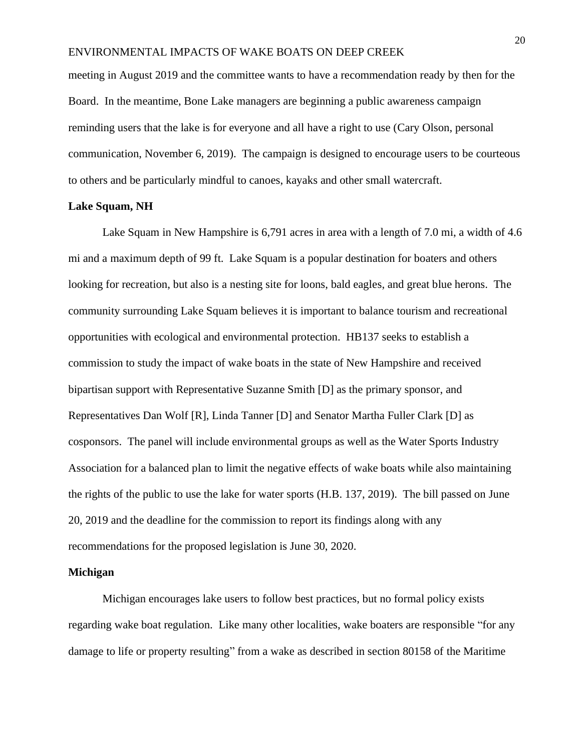meeting in August 2019 and the committee wants to have a recommendation ready by then for the Board. In the meantime, Bone Lake managers are beginning a public awareness campaign reminding users that the lake is for everyone and all have a right to use (Cary Olson, personal communication, November 6, 2019). The campaign is designed to encourage users to be courteous to others and be particularly mindful to canoes, kayaks and other small watercraft.

### **Lake Squam, NH**

Lake Squam in New Hampshire is 6,791 acres in area with a length of 7.0 mi, a width of 4.6 mi and a maximum depth of 99 ft. Lake Squam is a popular destination for boaters and others looking for recreation, but also is a nesting site for loons, bald eagles, and great blue herons. The community surrounding Lake Squam believes it is important to balance tourism and recreational opportunities with ecological and environmental protection. HB137 seeks to establish a commission to study the impact of wake boats in the state of New Hampshire and received bipartisan support with Representative Suzanne Smith [D] as the primary sponsor, and Representatives Dan Wolf [R], Linda Tanner [D] and Senator Martha Fuller Clark [D] as cosponsors. The panel will include environmental groups as well as the Water Sports Industry Association for a balanced plan to limit the negative effects of wake boats while also maintaining the rights of the public to use the lake for water sports (H.B. 137, 2019). The bill passed on June 20, 2019 and the deadline for the commission to report its findings along with any recommendations for the proposed legislation is June 30, 2020.

#### **Michigan**

Michigan encourages lake users to follow best practices, but no formal policy exists regarding wake boat regulation. Like many other localities, wake boaters are responsible "for any damage to life or property resulting" from a wake as described in section 80158 of the Maritime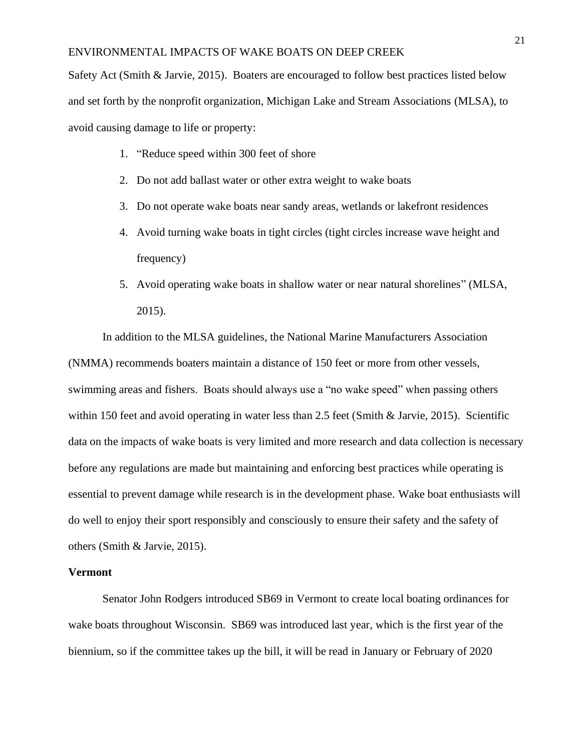Safety Act (Smith & Jarvie, 2015). Boaters are encouraged to follow best practices listed below and set forth by the nonprofit organization, Michigan Lake and Stream Associations (MLSA), to avoid causing damage to life or property:

- 1. "Reduce speed within 300 feet of shore
- 2. Do not add ballast water or other extra weight to wake boats
- 3. Do not operate wake boats near sandy areas, wetlands or lakefront residences
- 4. Avoid turning wake boats in tight circles (tight circles increase wave height and frequency)
- 5. Avoid operating wake boats in shallow water or near natural shorelines" (MLSA, 2015).

In addition to the MLSA guidelines, the National Marine Manufacturers Association (NMMA) recommends boaters maintain a distance of 150 feet or more from other vessels, swimming areas and fishers. Boats should always use a "no wake speed" when passing others within 150 feet and avoid operating in water less than 2.5 feet (Smith & Jarvie, 2015). Scientific data on the impacts of wake boats is very limited and more research and data collection is necessary before any regulations are made but maintaining and enforcing best practices while operating is essential to prevent damage while research is in the development phase. Wake boat enthusiasts will do well to enjoy their sport responsibly and consciously to ensure their safety and the safety of others (Smith & Jarvie, 2015).

#### **Vermont**

Senator John Rodgers introduced SB69 in Vermont to create local boating ordinances for wake boats throughout Wisconsin. SB69 was introduced last year, which is the first year of the biennium, so if the committee takes up the bill, it will be read in January or February of 2020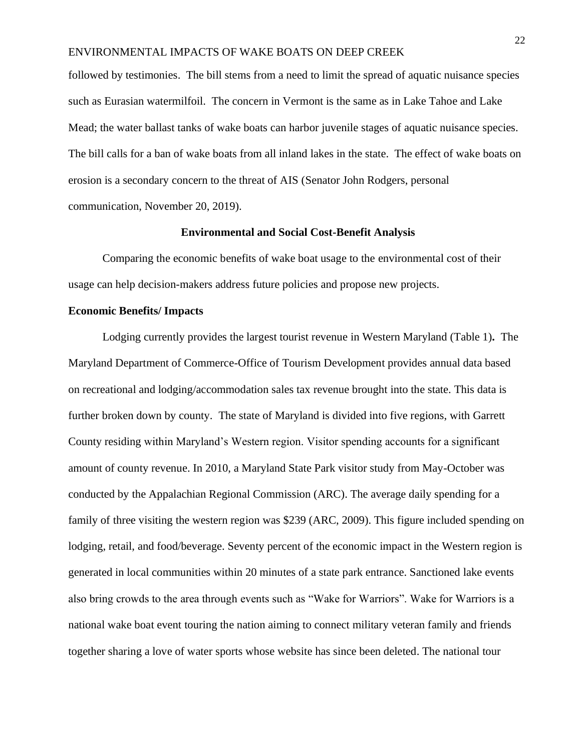followed by testimonies. The bill stems from a need to limit the spread of aquatic nuisance species such as Eurasian watermilfoil. The concern in Vermont is the same as in Lake Tahoe and Lake Mead; the water ballast tanks of wake boats can harbor juvenile stages of aquatic nuisance species. The bill calls for a ban of wake boats from all inland lakes in the state. The effect of wake boats on erosion is a secondary concern to the threat of AIS (Senator John Rodgers, personal communication, November 20, 2019).

### **Environmental and Social Cost-Benefit Analysis**

Comparing the economic benefits of wake boat usage to the environmental cost of their usage can help decision-makers address future policies and propose new projects.

## **Economic Benefits/ Impacts**

Lodging currently provides the largest tourist revenue in Western Maryland (Table 1)**.** The Maryland Department of Commerce-Office of Tourism Development provides annual data based on recreational and lodging/accommodation sales tax revenue brought into the state. This data is further broken down by county. The state of Maryland is divided into five regions, with Garrett County residing within Maryland's Western region. Visitor spending accounts for a significant amount of county revenue. In 2010, a Maryland State Park visitor study from May-October was conducted by the Appalachian Regional Commission (ARC). The average daily spending for a family of three visiting the western region was \$239 (ARC, 2009). This figure included spending on lodging, retail, and food/beverage. Seventy percent of the economic impact in the Western region is generated in local communities within 20 minutes of a state park entrance. Sanctioned lake events also bring crowds to the area through events such as "Wake for Warriors". Wake for Warriors is a national wake boat event touring the nation aiming to connect military veteran family and friends together sharing a love of water sports whose website has since been deleted. The national tour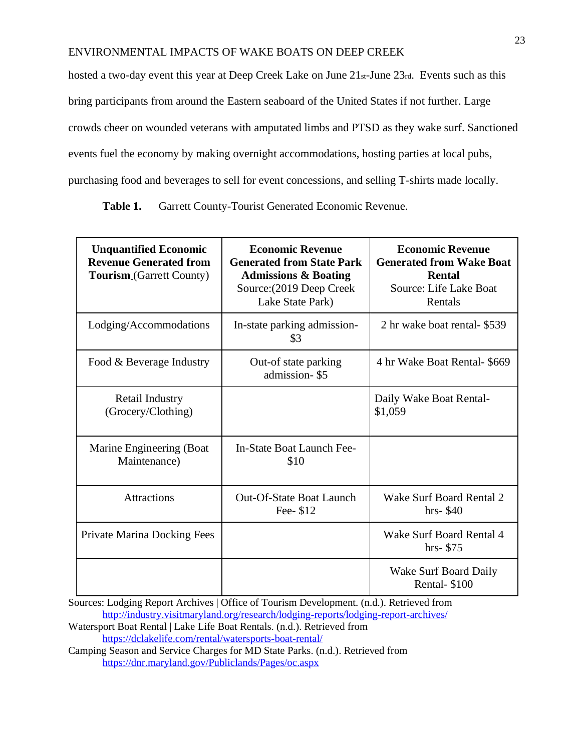hosted a two-day event this year at Deep Creek Lake on June 21st-June 23rd. Events such as this bring participants from around the Eastern seaboard of the United States if not further. Large crowds cheer on wounded veterans with amputated limbs and PTSD as they wake surf. Sanctioned events fuel the economy by making overnight accommodations, hosting parties at local pubs, purchasing food and beverages to sell for event concessions, and selling T-shirts made locally.

Table 1. Garrett County-Tourist Generated Economic Revenue.

| <b>Unquantified Economic</b><br><b>Revenue Generated from</b><br><b>Tourism</b> <sub>(Garrett County)</sub> | <b>Economic Revenue</b><br><b>Generated from State Park</b><br><b>Admissions &amp; Boating</b><br>Source: (2019 Deep Creek<br>Lake State Park) | <b>Economic Revenue</b><br><b>Generated from Wake Boat</b><br><b>Rental</b><br>Source: Life Lake Boat<br>Rentals |
|-------------------------------------------------------------------------------------------------------------|------------------------------------------------------------------------------------------------------------------------------------------------|------------------------------------------------------------------------------------------------------------------|
| Lodging/Accommodations                                                                                      | In-state parking admission-<br>\$3                                                                                                             | 2 hr wake boat rental- \$539                                                                                     |
| Food & Beverage Industry                                                                                    | Out-of state parking<br>admission-\$5                                                                                                          | 4 hr Wake Boat Rental- \$669                                                                                     |
| Retail Industry<br>(Grocery/Clothing)                                                                       |                                                                                                                                                | Daily Wake Boat Rental-<br>\$1,059                                                                               |
| Marine Engineering (Boat<br>Maintenance)                                                                    | In-State Boat Launch Fee-<br>\$10                                                                                                              |                                                                                                                  |
| <b>Attractions</b>                                                                                          | <b>Out-Of-State Boat Launch</b><br>Fee- \$12                                                                                                   | Wake Surf Board Rental 2<br>$hrs-$ \$40                                                                          |
| Private Marina Docking Fees                                                                                 |                                                                                                                                                | Wake Surf Board Rental 4<br>$hrs-$ \$75                                                                          |
|                                                                                                             |                                                                                                                                                | Wake Surf Board Daily<br>Rental-\$100                                                                            |

Sources: Lodging Report Archives | Office of Tourism Development. (n.d.). Retrieved from <http://industry.visitmaryland.org/research/lodging-reports/lodging-report-archives/>

Watersport Boat Rental | Lake Life Boat Rentals. (n.d.). Retrieved from <https://dclakelife.com/rental/watersports-boat-rental/>

Camping Season and Service Charges for MD State Parks. (n.d.). Retrieved from <https://dnr.maryland.gov/Publiclands/Pages/oc.aspx>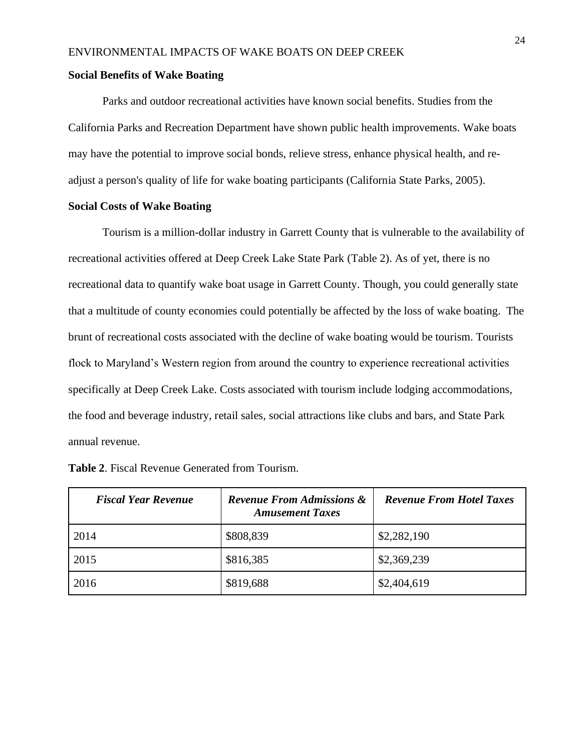### **Social Benefits of Wake Boating**

Parks and outdoor recreational activities have known social benefits. Studies from the California Parks and Recreation Department have shown public health improvements. Wake boats may have the potential to improve social bonds, relieve stress, enhance physical health, and readjust a person's quality of life for wake boating participants (California State Parks, 2005).

## **Social Costs of Wake Boating**

Tourism is a million-dollar industry in Garrett County that is vulnerable to the availability of recreational activities offered at Deep Creek Lake State Park (Table 2). As of yet, there is no recreational data to quantify wake boat usage in Garrett County. Though, you could generally state that a multitude of county economies could potentially be affected by the loss of wake boating. The brunt of recreational costs associated with the decline of wake boating would be tourism. Tourists flock to Maryland's Western region from around the country to experience recreational activities specifically at Deep Creek Lake. Costs associated with tourism include lodging accommodations, the food and beverage industry, retail sales, social attractions like clubs and bars, and State Park annual revenue.

| <b>Fiscal Year Revenue</b> | <b>Revenue From Admissions &amp;</b><br><b>Amusement Taxes</b> | <b>Revenue From Hotel Taxes</b> |
|----------------------------|----------------------------------------------------------------|---------------------------------|
| 2014                       | \$808,839                                                      | \$2,282,190                     |
| 2015                       | \$816,385                                                      | \$2,369,239                     |
| 2016                       | \$819,688                                                      | \$2,404,619                     |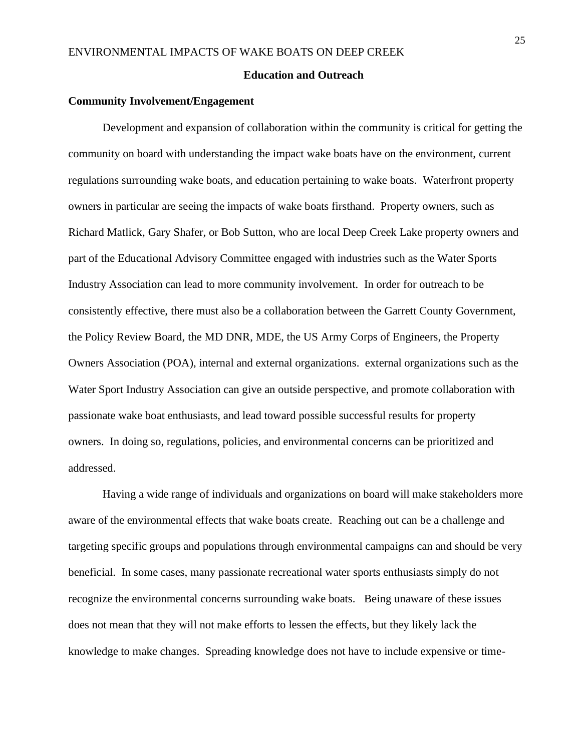### **Education and Outreach**

### **Community Involvement/Engagement**

Development and expansion of collaboration within the community is critical for getting the community on board with understanding the impact wake boats have on the environment, current regulations surrounding wake boats, and education pertaining to wake boats. Waterfront property owners in particular are seeing the impacts of wake boats firsthand. Property owners, such as Richard Matlick, Gary Shafer, or Bob Sutton, who are local Deep Creek Lake property owners and part of the Educational Advisory Committee engaged with industries such as the Water Sports Industry Association can lead to more community involvement. In order for outreach to be consistently effective, there must also be a collaboration between the Garrett County Government, the Policy Review Board, the MD DNR, MDE, the US Army Corps of Engineers, the Property Owners Association (POA), internal and external organizations. external organizations such as the Water Sport Industry Association can give an outside perspective, and promote collaboration with passionate wake boat enthusiasts, and lead toward possible successful results for property owners. In doing so, regulations, policies, and environmental concerns can be prioritized and addressed.

Having a wide range of individuals and organizations on board will make stakeholders more aware of the environmental effects that wake boats create. Reaching out can be a challenge and targeting specific groups and populations through environmental campaigns can and should be very beneficial. In some cases, many passionate recreational water sports enthusiasts simply do not recognize the environmental concerns surrounding wake boats. Being unaware of these issues does not mean that they will not make efforts to lessen the effects, but they likely lack the knowledge to make changes. Spreading knowledge does not have to include expensive or time-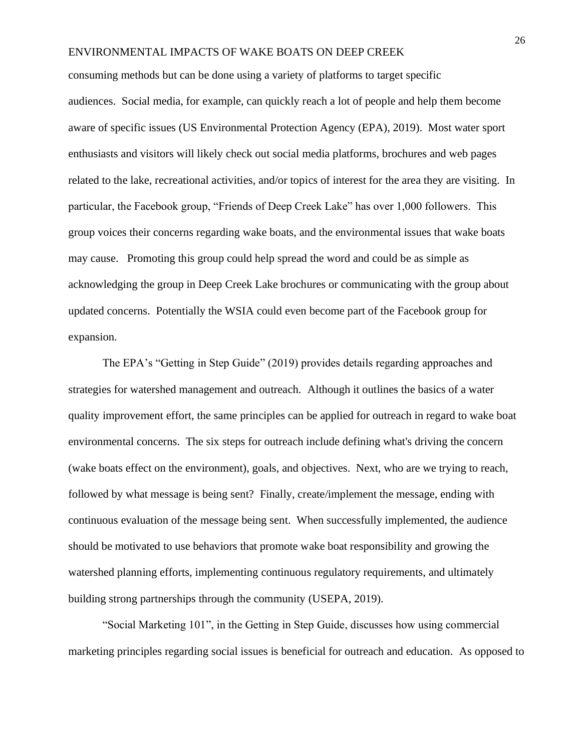consuming methods but can be done using a variety of platforms to target specific audiences. Social media, for example, can quickly reach a lot of people and help them become aware of specific issues (US Environmental Protection Agency (EPA), 2019). Most water sport enthusiasts and visitors will likely check out social media platforms, brochures and web pages related to the lake, recreational activities, and/or topics of interest for the area they are visiting. In particular, the Facebook group, "Friends of Deep Creek Lake" has over 1,000 followers. This group voices their concerns regarding wake boats, and the environmental issues that wake boats may cause. Promoting this group could help spread the word and could be as simple as acknowledging the group in Deep Creek Lake brochures or communicating with the group about updated concerns. Potentially the WSIA could even become part of the Facebook group for expansion.

The EPA's "Getting in Step Guide" (2019) provides details regarding approaches and strategies for watershed management and outreach. Although it outlines the basics of a water quality improvement effort, the same principles can be applied for outreach in regard to wake boat environmental concerns. The six steps for outreach include defining what's driving the concern (wake boats effect on the environment), goals, and objectives. Next, who are we trying to reach, followed by what message is being sent? Finally, create/implement the message, ending with continuous evaluation of the message being sent. When successfully implemented, the audience should be motivated to use behaviors that promote wake boat responsibility and growing the watershed planning efforts, implementing continuous regulatory requirements, and ultimately building strong partnerships through the community (USEPA, 2019).

"Social Marketing 101", in the Getting in Step Guide, discusses how using commercial marketing principles regarding social issues is beneficial for outreach and education. As opposed to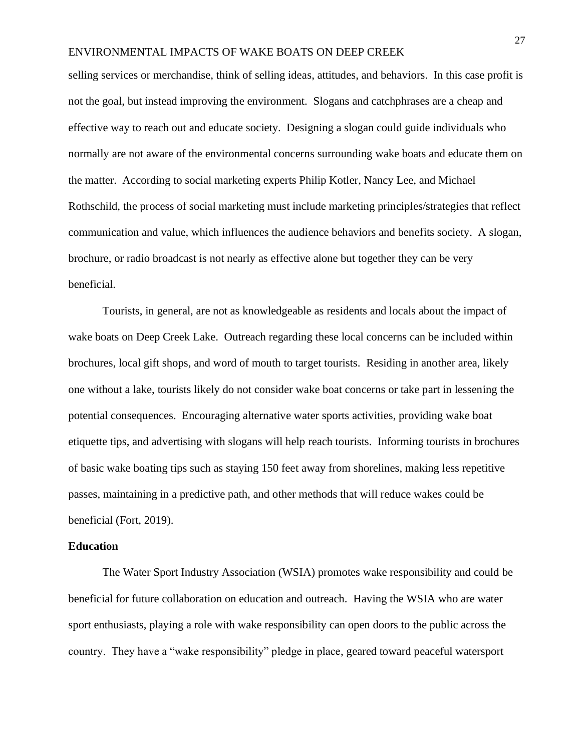selling services or merchandise, think of selling ideas, attitudes, and behaviors. In this case profit is not the goal, but instead improving the environment. Slogans and catchphrases are a cheap and effective way to reach out and educate society. Designing a slogan could guide individuals who normally are not aware of the environmental concerns surrounding wake boats and educate them on the matter. According to social marketing experts Philip Kotler, Nancy Lee, and Michael Rothschild, the process of social marketing must include marketing principles/strategies that reflect communication and value, which influences the audience behaviors and benefits society. A slogan, brochure, or radio broadcast is not nearly as effective alone but together they can be very beneficial.

Tourists, in general, are not as knowledgeable as residents and locals about the impact of wake boats on Deep Creek Lake. Outreach regarding these local concerns can be included within brochures, local gift shops, and word of mouth to target tourists. Residing in another area, likely one without a lake, tourists likely do not consider wake boat concerns or take part in lessening the potential consequences. Encouraging alternative water sports activities, providing wake boat etiquette tips, and advertising with slogans will help reach tourists. Informing tourists in brochures of basic wake boating tips such as staying 150 feet away from shorelines, making less repetitive passes, maintaining in a predictive path, and other methods that will reduce wakes could be beneficial (Fort, 2019).

### **Education**

The Water Sport Industry Association (WSIA) promotes wake responsibility and could be beneficial for future collaboration on education and outreach. Having the WSIA who are water sport enthusiasts, playing a role with wake responsibility can open doors to the public across the country. They have a "wake responsibility" pledge in place, geared toward peaceful watersport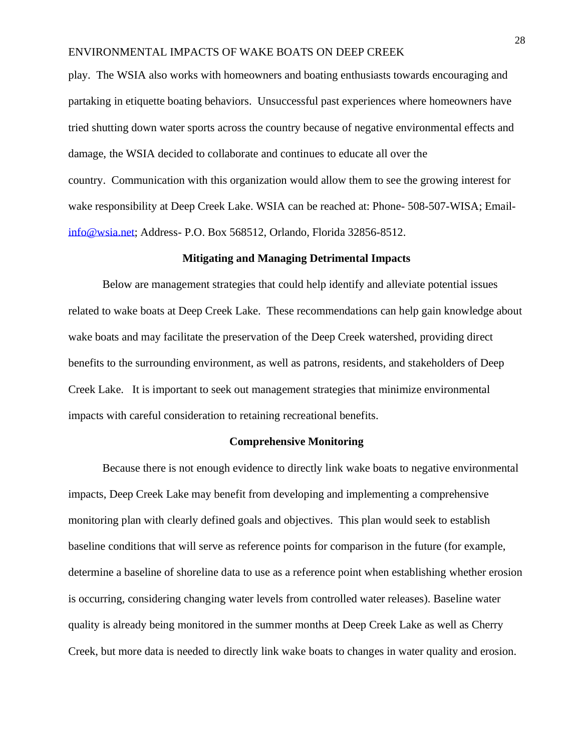play. The WSIA also works with homeowners and boating enthusiasts towards encouraging and partaking in etiquette boating behaviors. Unsuccessful past experiences where homeowners have tried shutting down water sports across the country because of negative environmental effects and damage, the WSIA decided to collaborate and continues to educate all over the country. Communication with this organization would allow them to see the growing interest for wake responsibility at Deep Creek Lake. WSIA can be reached at: Phone- 508-507-WISA; Email[info@wsia.net;](mailto:info@wsia.net) Address- P.O. Box 568512, Orlando, Florida 32856-8512.

### **Mitigating and Managing Detrimental Impacts**

Below are management strategies that could help identify and alleviate potential issues related to wake boats at Deep Creek Lake. These recommendations can help gain knowledge about wake boats and may facilitate the preservation of the Deep Creek watershed, providing direct benefits to the surrounding environment, as well as patrons, residents, and stakeholders of Deep Creek Lake. It is important to seek out management strategies that minimize environmental impacts with careful consideration to retaining recreational benefits.

### **Comprehensive Monitoring**

Because there is not enough evidence to directly link wake boats to negative environmental impacts, Deep Creek Lake may benefit from developing and implementing a comprehensive monitoring plan with clearly defined goals and objectives. This plan would seek to establish baseline conditions that will serve as reference points for comparison in the future (for example, determine a baseline of shoreline data to use as a reference point when establishing whether erosion is occurring, considering changing water levels from controlled water releases). Baseline water quality is already being monitored in the summer months at Deep Creek Lake as well as Cherry Creek, but more data is needed to directly link wake boats to changes in water quality and erosion.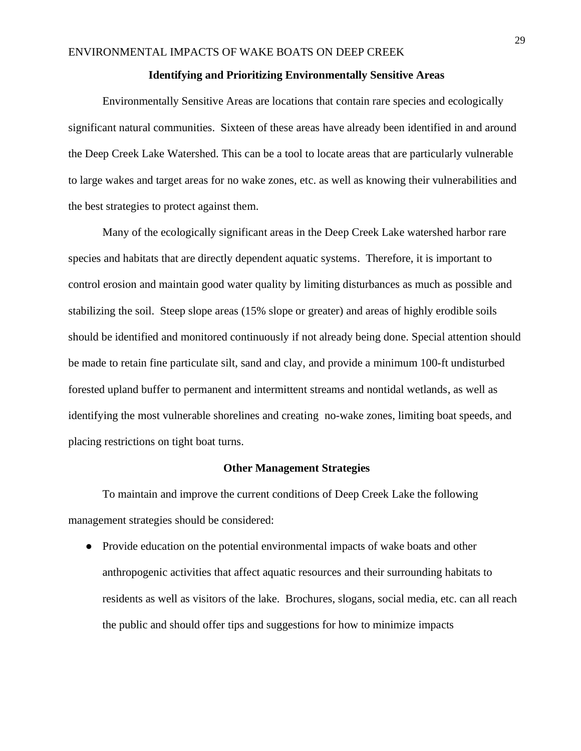#### **Identifying and Prioritizing Environmentally Sensitive Areas**

Environmentally Sensitive Areas are locations that contain rare species and ecologically significant natural communities. Sixteen of these areas have already been identified in and around the Deep Creek Lake Watershed. This can be a tool to locate areas that are particularly vulnerable to large wakes and target areas for no wake zones, etc. as well as knowing their vulnerabilities and the best strategies to protect against them.

Many of the ecologically significant areas in the Deep Creek Lake watershed harbor rare species and habitats that are directly dependent aquatic systems. Therefore, it is important to control erosion and maintain good water quality by limiting disturbances as much as possible and stabilizing the soil. Steep slope areas (15% slope or greater) and areas of highly erodible soils should be identified and monitored continuously if not already being done. Special attention should be made to retain fine particulate silt, sand and clay, and provide a minimum 100-ft undisturbed forested upland buffer to permanent and intermittent streams and nontidal wetlands, as well as identifying the most vulnerable shorelines and creating no-wake zones, limiting boat speeds, and placing restrictions on tight boat turns.

#### **Other Management Strategies**

To maintain and improve the current conditions of Deep Creek Lake the following management strategies should be considered:

• Provide education on the potential environmental impacts of wake boats and other anthropogenic activities that affect aquatic resources and their surrounding habitats to residents as well as visitors of the lake. Brochures, slogans, social media, etc. can all reach the public and should offer tips and suggestions for how to minimize impacts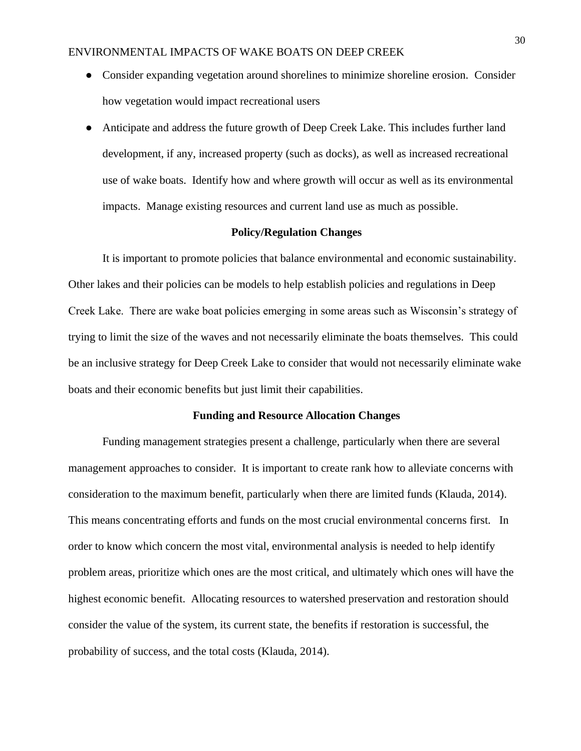- Consider expanding vegetation around shorelines to minimize shoreline erosion. Consider how vegetation would impact recreational users
- Anticipate and address the future growth of Deep Creek Lake. This includes further land development, if any, increased property (such as docks), as well as increased recreational use of wake boats. Identify how and where growth will occur as well as its environmental impacts. Manage existing resources and current land use as much as possible.

### **Policy/Regulation Changes**

It is important to promote policies that balance environmental and economic sustainability. Other lakes and their policies can be models to help establish policies and regulations in Deep Creek Lake. There are wake boat policies emerging in some areas such as Wisconsin's strategy of trying to limit the size of the waves and not necessarily eliminate the boats themselves. This could be an inclusive strategy for Deep Creek Lake to consider that would not necessarily eliminate wake boats and their economic benefits but just limit their capabilities.

#### **Funding and Resource Allocation Changes**

Funding management strategies present a challenge, particularly when there are several management approaches to consider. It is important to create rank how to alleviate concerns with consideration to the maximum benefit, particularly when there are limited funds (Klauda, 2014). This means concentrating efforts and funds on the most crucial environmental concerns first. In order to know which concern the most vital, environmental analysis is needed to help identify problem areas, prioritize which ones are the most critical, and ultimately which ones will have the highest economic benefit. Allocating resources to watershed preservation and restoration should consider the value of the system, its current state, the benefits if restoration is successful, the probability of success, and the total costs (Klauda, 2014).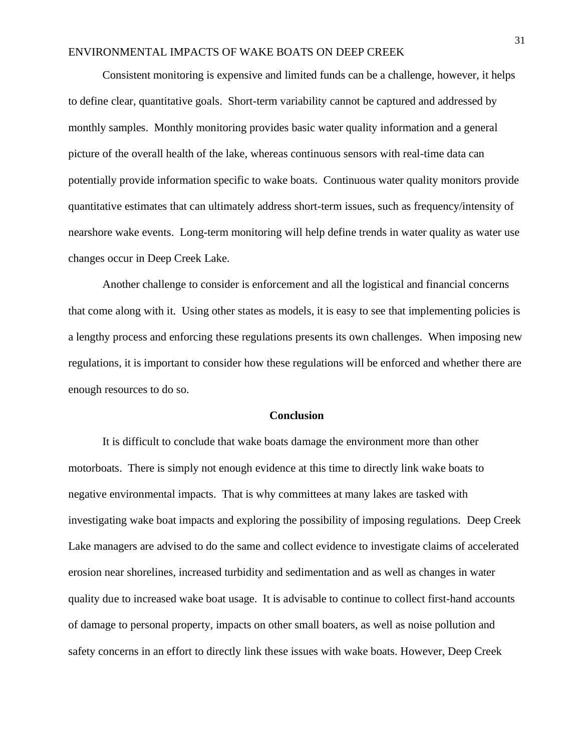Consistent monitoring is expensive and limited funds can be a challenge, however, it helps to define clear, quantitative goals. Short-term variability cannot be captured and addressed by monthly samples. Monthly monitoring provides basic water quality information and a general picture of the overall health of the lake, whereas continuous sensors with real-time data can potentially provide information specific to wake boats. Continuous water quality monitors provide quantitative estimates that can ultimately address short-term issues, such as frequency/intensity of nearshore wake events. Long-term monitoring will help define trends in water quality as water use changes occur in Deep Creek Lake.

Another challenge to consider is enforcement and all the logistical and financial concerns that come along with it. Using other states as models, it is easy to see that implementing policies is a lengthy process and enforcing these regulations presents its own challenges. When imposing new regulations, it is important to consider how these regulations will be enforced and whether there are enough resources to do so.

### **Conclusion**

It is difficult to conclude that wake boats damage the environment more than other motorboats. There is simply not enough evidence at this time to directly link wake boats to negative environmental impacts. That is why committees at many lakes are tasked with investigating wake boat impacts and exploring the possibility of imposing regulations. Deep Creek Lake managers are advised to do the same and collect evidence to investigate claims of accelerated erosion near shorelines, increased turbidity and sedimentation and as well as changes in water quality due to increased wake boat usage. It is advisable to continue to collect first-hand accounts of damage to personal property, impacts on other small boaters, as well as noise pollution and safety concerns in an effort to directly link these issues with wake boats. However, Deep Creek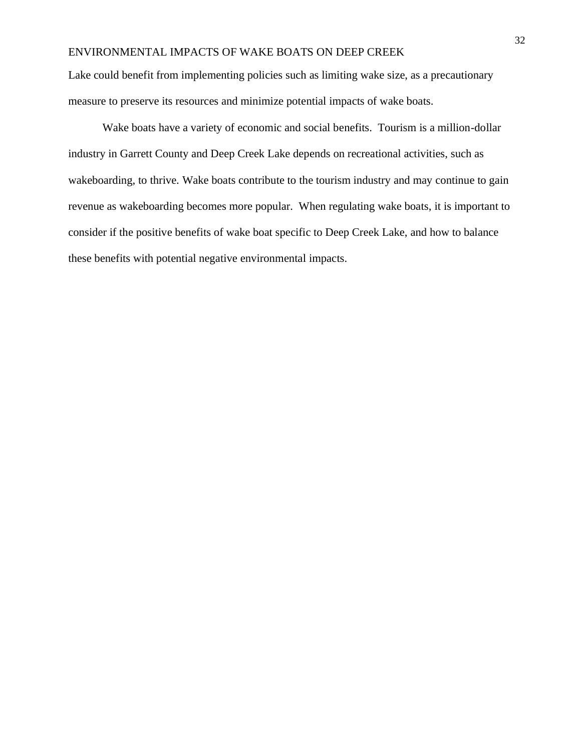Lake could benefit from implementing policies such as limiting wake size, as a precautionary measure to preserve its resources and minimize potential impacts of wake boats.

Wake boats have a variety of economic and social benefits. Tourism is a million-dollar industry in Garrett County and Deep Creek Lake depends on recreational activities, such as wakeboarding, to thrive. Wake boats contribute to the tourism industry and may continue to gain revenue as wakeboarding becomes more popular. When regulating wake boats, it is important to consider if the positive benefits of wake boat specific to Deep Creek Lake, and how to balance these benefits with potential negative environmental impacts.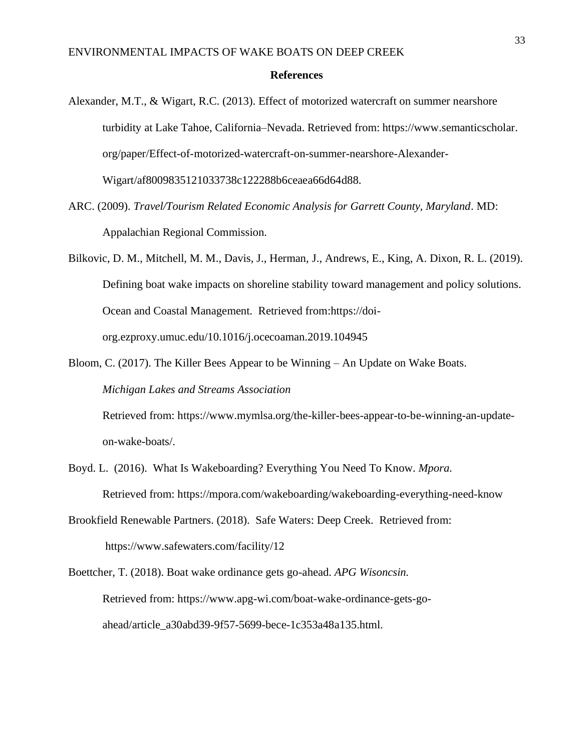#### **References**

- Alexander, M.T., & Wigart, R.C. (2013). Effect of motorized watercraft on summer nearshore turbidity at Lake Tahoe, California–Nevada. Retrieved from: [https://www.semanticscholar.](https://www.semanticscholar/) org/paper/Effect-of-motorized-watercraft-on-summer-nearshore-Alexander-Wigart/af8009835121033738c122288b6ceaea66d64d88.
- ARC. (2009). *Travel/Tourism Related Economic Analysis for Garrett County, Maryland*. MD: Appalachian Regional Commission.
- Bilkovic, D. M., Mitchell, M. M., Davis, J., Herman, J., Andrews, E., King, A. Dixon, R. L. (2019). Defining boat wake impacts on shoreline stability toward management and policy solutions. Ocean and Coastal Management. Retrieved from:https://doiorg.ezproxy.umuc.edu/10.1016/j.ocecoaman.2019.104945
- Bloom, C. (2017). The Killer Bees Appear to be Winning An Update on Wake Boats. *Michigan Lakes and Streams Association*

Retrieved from: [https://www.mymlsa.org/the-killer-bees-appear-to-be-winning-an-update](https://www.mymlsa.org/the-killer-bees-appear-to-be-winning-an-update-%20on-wake-boats/)on-wake-boats/.

- Boyd. L. (2016). What Is Wakeboarding? Everything You Need To Know. *Mpora.* Retrieved from: <https://mpora.com/wakeboarding/wakeboarding-everything-need-know>
- Brookfield Renewable Partners. (2018). Safe Waters: Deep Creek. Retrieved from: <https://www.safewaters.com/facility/12>

Boettcher, T. (2018). Boat wake ordinance gets go-ahead. *APG Wisoncsin.* Retrieved from: [https://www.apg-wi.com/boat-wake-ordinance-gets-go](https://www.apg-wi.com/boat-wake-ordinance-gets-go-)ahead/article\_a30abd39-9f57-5699-bece-1c353a48a135.html.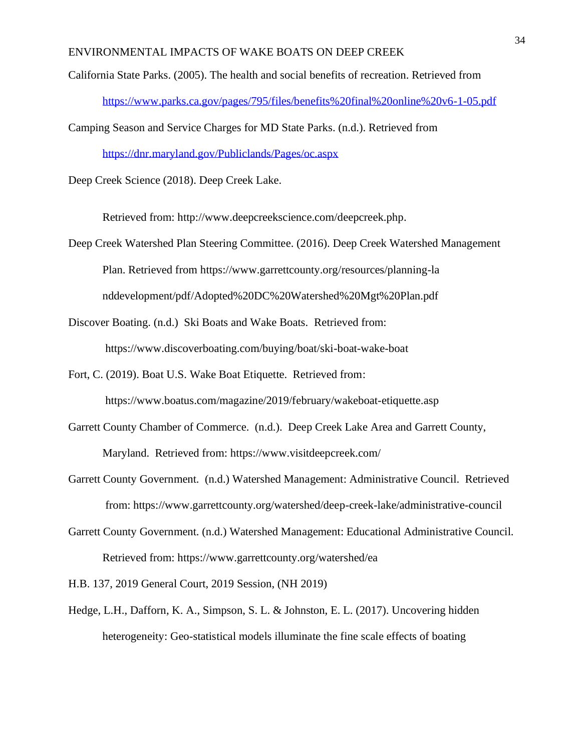California State Parks. (2005). The health and social benefits of recreation. Retrieved from <https://www.parks.ca.gov/pages/795/files/benefits%20final%20online%20v6-1-05.pdf>

Camping Season and Service Charges for MD State Parks. (n.d.). Retrieved from

<https://dnr.maryland.gov/Publiclands/Pages/oc.aspx>

Deep Creek Science (2018). Deep Creek Lake.

Retrieved from: [http://www.deepcreekscience.com/deepcreek.php.](http://www.deepcreekscience.com/deepcreek.php)

- Deep Creek Watershed Plan Steering Committee. (2016). Deep Creek Watershed Management Plan. Retrieved from [https://www.garrettcounty.org/resources/planning-la](https://www.garrettcounty.org/resources/planning-landdevelopment/pdf/Adopted%20DC%20Watershed%20Mgt%20Plan.pdf) nddevelopment/pdf/Adopted%20DC%20Watershed%20Mgt%20Plan.pdf
- Discover Boating. (n.d.) Ski Boats and Wake Boats. Retrieved from: <https://www.discoverboating.com/buying/boat/ski-boat-wake-boat>
- Fort, C. (2019). Boat U.S. Wake Boat Etiquette. Retrieved from: <https://www.boatus.com/magazine/2019/february/wakeboat-etiquette.asp>
- Garrett County Chamber of Commerce. (n.d.). Deep Creek Lake Area and Garrett County, Maryland. Retrieved from: <https://www.visitdeepcreek.com/>
- Garrett County Government. (n.d.) Watershed Management: Administrative Council. Retrieved from[:](https://www.garrettcounty.org/watershed/deep-creek-lake/administrative-council) <https://www.garrettcounty.org/watershed/deep-creek-lake/administrative-council>
- Garrett County Government. (n.d.) Watershed Management: Educational Administrative Council. Retrieved from: [https://www.garrettcounty.org/watershed/ea](https://www.garrettcounty.org/watershed/eac)

H.B. 137, 2019 General Court, 2019 Session, (NH 2019)

Hedge, L.H., Dafforn, K. A., Simpson, S. L. & Johnston, E. L. (2017). Uncovering hidden heterogeneity: Geo-statistical models illuminate the fine scale effects of boating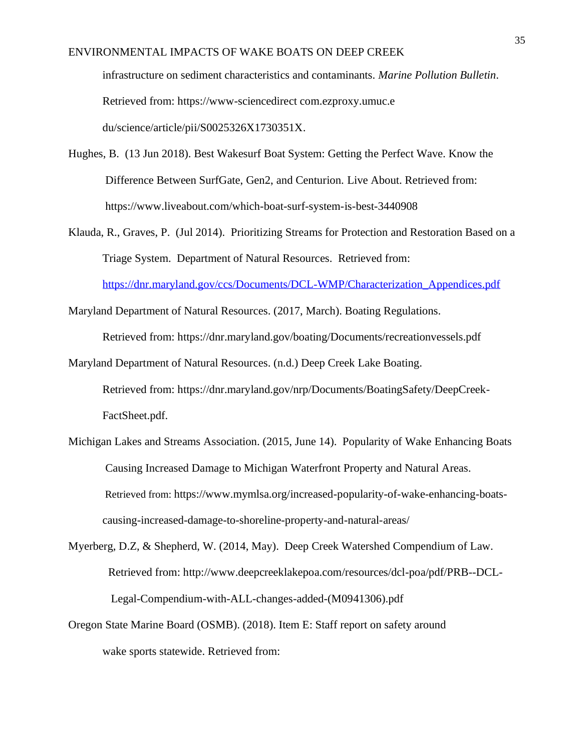infrastructure on sediment characteristics and contaminants. *Marine Pollution Bulletin*. Retrieved from: https://www-sciencedirect com.ezproxy.umuc.e du/science/article/pii/S0025326X1730351X.

- Hughes, B. (13 Jun 2018). Best Wakesurf Boat System: Getting the Perfect Wave. Know the Difference Between SurfGate, Gen2, and Centurion. Live About. Retrieved from: <https://www.liveabout.com/which-boat-surf-system-is-best-3440908>
- Klauda, R., Graves, P. (Jul 2014). Prioritizing Streams for Protection and Restoration Based on a Triage System. Department of Natural Resources. Retrieved from[:](https://dnr.maryland.gov/ccs/Documents/DCL-WMP/Characterization_Appendices.pdf) [https://dnr.maryland.gov/ccs/Documents/DCL-WMP/Characterization\\_Appendices.pdf](https://dnr.maryland.gov/ccs/Documents/DCL-WMP/Characterization_Appendices.pdf)

Maryland Department of Natural Resources. (2017, March). Boating Regulations.

Retrieved from:<https://dnr.maryland.gov/boating/Documents/recreationvessels.pdf>

Maryland Department of Natural Resources. (n.d.) Deep Creek Lake Boating. Retrieved from: [https://dnr.maryland.gov/nrp/Documents/BoatingSafety/DeepCreek-](https://dnr.maryland.gov/nrp/Documents/BoatingSafety/DeepCreek-FactSheet.pdf)

[FactSheet.pdf.](https://dnr.maryland.gov/nrp/Documents/BoatingSafety/DeepCreek-FactSheet.pdf)

- Michigan Lakes and Streams Association. (2015, June 14). Popularity of Wake Enhancing Boats Causing Increased Damage to Michigan Waterfront Property and Natural Areas. Retrieved from: [https://www.mymlsa.org/increased-popularity-of-wake-enhancing-boats](https://www.mymlsa.org/increased-popularity-of-wake-enhancing-boats-%20causing-increased-damage-to-shoreline-property-and-natural-areas/)[causing-increased-damage-to-shoreline-property-and-natural-areas/](https://www.mymlsa.org/increased-popularity-of-wake-enhancing-boats-%20causing-increased-damage-to-shoreline-property-and-natural-areas/)
- Myerberg, D.Z, & Shepherd, W. (2014, May). Deep Creek Watershed Compendium of Law. Retrieved from: [http://www.deepcreeklakepoa.com/resources/dcl-poa/pdf/PRB--DCL-](http://www.deepcreeklakepoa.com/resources/dcl-poa/pdf/PRB--DCL-%20Legal-Compendium-with-ALL-changes-added-(M0941306).pdf)[Legal-Compendium-with-ALL-changes-added-\(M0941306\).pdf](http://www.deepcreeklakepoa.com/resources/dcl-poa/pdf/PRB--DCL-%20Legal-Compendium-with-ALL-changes-added-(M0941306).pdf)
- Oregon State Marine Board (OSMB). (2018). Item E: Staff report on safety around wake sports statewide. Retrieved from: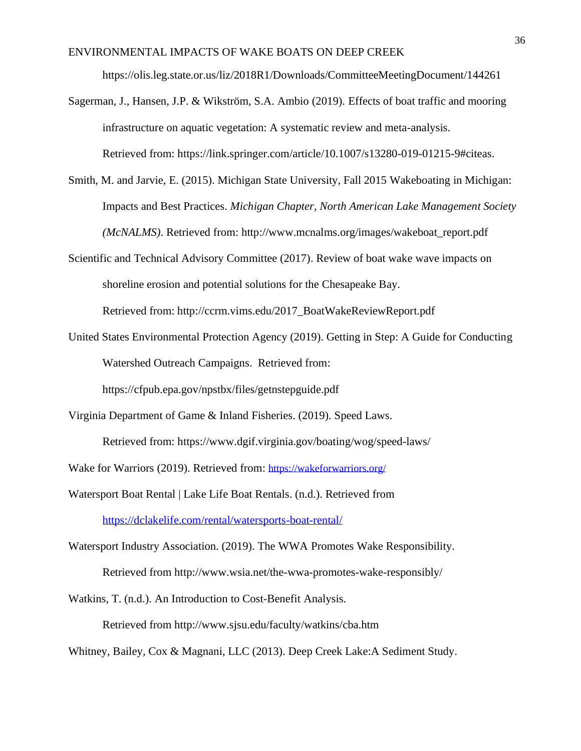<https://olis.leg.state.or.us/liz/2018R1/Downloads/CommitteeMeetingDocument/144261>

- Sagerman, J., Hansen, J.P. & Wikström, S.A. Ambio (2019). Effects of boat traffic and mooring infrastructure on aquatic vegetation: A systematic review and meta-analysis. Retrieved from: [https://link.springer.com/article/10.1007/s13280-019-01215-9#citeas.](https://link.springer.com/article/10.1007/s13280-019-01215-9#citeas)
- Smith, M. and Jarvie, E. (2015). Michigan State University, Fall 2015 Wakeboating in Michigan: Impacts and Best Practices. *Michigan Chapter, North American Lake Management Society (McNALMS)*. Retrieved from: [http://www.mcnalms.org/images/wakeboat\\_report.pdf](http://www.mcnalms.org/images/wakeboat_report.pdf)
- Scientific and Technical Advisory Committee (2017). Review of boat wake wave impacts on shoreline erosion and potential solutions for the Chesapeake Bay.

Retrieved from: http://ccrm.vims.edu/2017\_BoatWakeReviewReport.pdf

United States Environmental Protection Agency (2019). Getting in Step: A Guide for Conducting Watershed Outreach Campaigns. Retrieved from:

https://cfpub.epa.gov/npstbx/files/getnstepguide.pdf

Virginia Department of Game & Inland Fisheries. (2019). Speed Laws.

Retrieved from:<https://www.dgif.virginia.gov/boating/wog/speed-laws/>

Wake for Warriors (2019). Retrieved from: <https://wakeforwarriors.org/>

- Watersport Boat Rental | Lake Life Boat Rentals. (n.d.). Retrieved from <https://dclakelife.com/rental/watersports-boat-rental/>
- Watersport Industry Association. (2019). The WWA Promotes Wake Responsibility. Retrieved from<http://www.wsia.net/the-wwa-promotes-wake-responsibly/>

Watkins, T. (n.d.). An Introduction to Cost-Benefit Analysis.

Retrieved from<http://www.sjsu.edu/faculty/watkins/cba.htm>

Whitney, Bailey, Cox & Magnani, LLC (2013). Deep Creek Lake:A Sediment Study.